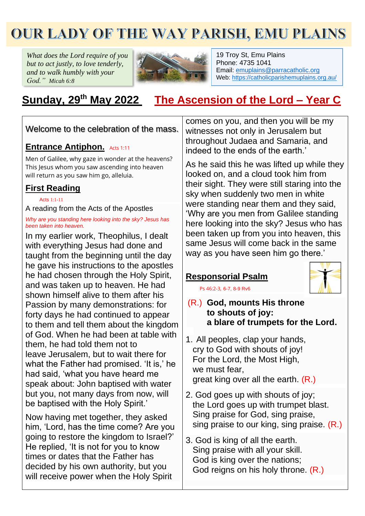# **OUR LADY OF THE WAY PARISH, EMU PLAINS**

*What does the Lord require of you but to act justly, to love tenderly, and to walk humbly with your God." Micah 6:8*



19 Troy St, Emu Plains Phone: 4735 1041 Email: [emuplains@parracatholic.org](mailto:emuplains@parracatholic.org) Web:<https://catholicparishemuplains.org.au/>

# **Sunday, 29 th May 2022 The Ascension of the Lord – Year C**

Welcome to the celebration of the mass.

## **Entrance Antiphon.** Acts 1:11

Men of Galilee, why gaze in wonder at the heavens? This Jesus whom you saw ascending into heaven will return as you saw him go, alleluia.

# **First Reading**

[Acts](https://liturgyhelp.com/ritual/lectionary/LectionaryList%7Cact#act015) 1:1[-11](https://liturgyhelp.com/ritual/lectionary/LectionaryList%7Cact#act015)

A reading from the Acts of the Apostles

*Why are you standing here looking into the sky? Jesus has been taken into heaven.*

In my earlier work, Theophilus, I dealt with everything Jesus had done and taught from the beginning until the day he gave his instructions to the apostles he had chosen through the Holy Spirit, and was taken up to heaven. He had shown himself alive to them after his Passion by many demonstrations: for forty days he had continued to appear to them and tell them about the kingdom of God. When he had been at table with them, he had told them not to leave Jerusalem, but to wait there for what the Father had promised. 'It is,' he had said, 'what you have heard me speak about: John baptised with water but you, not many days from now, will be baptised with the Holy Spirit.'

Now having met together, they asked him, 'Lord, has the time come? Are you going to restore the kingdom to Israel?' He replied, 'It is not for you to know times or dates that the Father has decided by his own authority, but you will receive power when the Holy Spirit

comes on you, and then you will be my witnesses not only in Jerusalem but throughout Judaea and Samaria, and indeed to the ends of the earth.'

As he said this he was lifted up while they looked on, and a cloud took him from their sight. They were still staring into the sky when suddenly two men in white were standing near them and they said, 'Why are you men from Galilee standing here looking into the sky? Jesus who has been taken up from you into heaven, this same Jesus will come back in the same way as you have seen him go there.'

# **Responsorial Psalm**



[Ps 46:2-3,](https://liturgyhelp.com/ritual/lectionary/LectionaryListPsalm%7Cpsm) 6-7, 8-9 Rv6

## (R.) **God, mounts His throne to shouts of joy: a blare of trumpets for the Lord.**

- 1. All peoples, clap your hands, cry to God with shouts of joy! For the Lord, the Most High, we must fear, great king over all the earth. (R.)
- 2. God goes up with shouts of joy; the Lord goes up with trumpet blast. Sing praise for God, sing praise, sing praise to our king, sing praise. (R.)
- 3. God is king of all the earth. Sing praise with all your skill. God is king over the nations; God reigns on his holy throne. (R.)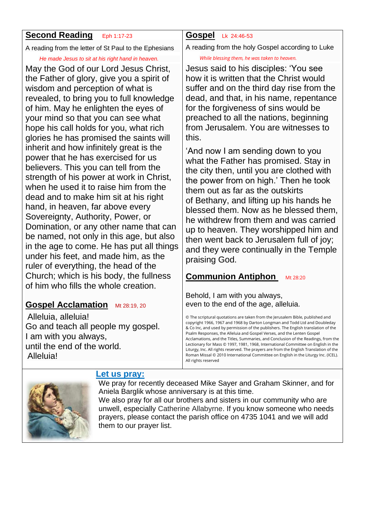# **Second Reading Eph 1:17-23**

A reading from the letter of St Paul to the Ephesians

#### *He made Jesus to sit at his right hand in heaven.*

May the God of our Lord Jesus Christ, the Father of glory, give you a spirit of wisdom and perception of what is revealed, to bring you to full knowledge of him. May he enlighten the eyes of your mind so that you can see what hope his call holds for you, what rich glories he has promised the saints will inherit and how infinitely great is the power that he has exercised for us believers. This you can tell from the strength of his power at work in Christ, when he used it to raise him from the dead and to make him sit at his right hand, in heaven, far above every Sovereignty, Authority, Power, or Domination, or any other name that can be named, not only in this age, but also in the age to come. He has put all things under his feet, and made him, as the ruler of everything, the head of the Church; which is his body, the fullness of him who fills the whole creation.

# **Gospel Acclamation** Mt 28:19, 20

Alleluia, alleluia! Go and teach all people my gospel. I am with you always, until the end of the world. Alleluia!

# **Gospel** [Lk](https://liturgyhelp.com/ritual/lectionary/LectionaryList%7Cjhn#jhn014) 24:46-53

A reading from the holy Gospel according to Luke

#### *While blessing them, he was taken to heaven.*

Jesus said to his disciples: 'You see how it is written that the Christ would suffer and on the third day rise from the dead, and that, in his name, repentance for the forgiveness of sins would be preached to all the nations, beginning from Jerusalem. You are witnesses to this.

'And now I am sending down to you what the Father has promised. Stay in the city then, until you are clothed with the power from on high.' Then he took them out as far as the outskirts of Bethany, and lifting up his hands he blessed them. Now as he blessed them, he withdrew from them and was carried up to heaven. They worshipped him and then went back to Jerusalem full of joy; and they were continually in the Temple praising God.

# **Communion Antiphon** Mt 28:20

Behold, I am with you always, even to the end of the age, alleluia.

© The scriptural quotations are taken from the Jerusalem Bible, published and copyright 1966, 1967 and 1968 by Darton Longman and Todd Ltd and Doubleday & Co Inc, and used by permission of the publishers. The English translation of the Psalm Responses, the Alleluia and Gospel Verses, and the Lenten Gospel Acclamations, and the Titles, Summaries, and Conclusion of the Readings, from the Lectionary for Mass © 1997, 1981, 1968, International Committee on English in the Liturgy, Inc. All rights reserved. The prayers are from the English Translation of the Roman Missal © 2010 International Committee on English in the Liturgy Inc. (ICEL). All rights reserved



# **Let us pray:**

We pray for recently deceased Mike Sayer and Graham Skinner, and for Aniela Barglik whose anniversary is at this time. We also pray for all our brothers and sisters in our community who are unwell, especially Catherine Allabyrne. If you know someone who needs prayers, please contact the parish office on 4735 1041 and we will add them to our prayer list.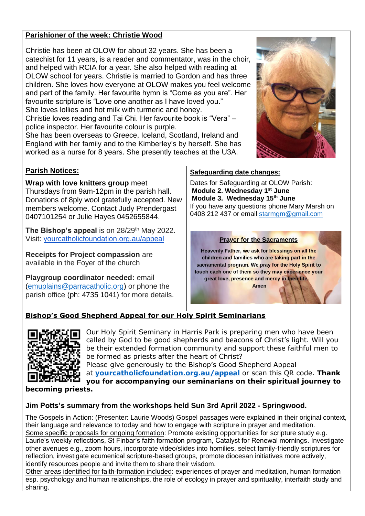#### **Parishioner of the week: Christie Wood**

Christie has been at OLOW for about 32 years. She has been a catechist for 11 years, is a reader and commentator, was in the choir, and helped with RCIA for a year. She also helped with reading at OLOW school for years. Christie is married to Gordon and has three children. She loves how everyone at OLOW makes you feel welcome and part of the family. Her favourite hymn is "Come as you are". Her favourite scripture is "Love one another as I have loved you." She loves lollies and hot milk with turmeric and honey. Christie loves reading and Tai Chi. Her favourite book is "Vera" –

police inspector. Her favourite colour is purple. She has been overseas to Greece, Iceland, Scotland, Ireland and

England with her family and to the Kimberley's by herself. She has worked as a nurse for 8 years. She presently teaches at the U3A.



#### **Parish Notices:**

**Wrap with love knitters group** meet Thursdays from 9am-12pm in the parish hall. Donations of 8ply wool gratefully accepted. New members welcome. Contact Judy Prendergast 0407101254 or Julie Hayes 0452655844.

**The Bishop's appeal** is on 28/29<sup>th</sup> May 2022. Visit: [yourcatholicfoundation.org.au/appeal](http://yourcatholicfoundation.org.au/appeal)

**Receipts for Project compassion** are available in the Foyer of the church

**Playgroup coordinator needed:** email [\(emuplains@parracatholic.org\)](mailto:emuplains@parracatholic.org) or phone the parish office (ph: 4735 1041) for more details.

#### **Safeguarding date changes:**

Dates for Safeguarding at OLOW Parish: **Module 2. Wednesday 1st June Module 3. Wednesday 15th June** If you have any questions phone Mary Marsh on 0408 212 437 or email [starmgm@gmail.com](mailto:starmgm@gmail.com)

#### **Prayer for the Sacraments**

Heavenly Father, we ask for blessings on all the children and families who are taking part in the sacramental program. We pray for the Holy Spirit to touch each one of them so they may experience your great love, presence and mercy in their life.

Amen

### **Bishop's Good Shepherd Appeal for our Holy Spirit Seminarians**



Our Holy Spirit Seminary in Harris Park is preparing men who have been called by God to be good shepherds and beacons of Christ's light. Will you be their extended formation community and support these faithful men to be formed as priests after the heart of Christ?

Please give generously to the Bishop's Good Shepherd Appeal at **[yourcatholicfoundation.org.au/appeal](http://yourcatholicfoundation.org.au/appeal)** or scan this QR code. **Thank you for accompanying our seminarians on their spiritual journey to** 

**becoming priests.**

#### **Jim Potts's summary from the workshops held Sun 3rd April 2022 - Springwood.**

The Gospels in Action: (Presenter: Laurie Woods) Gospel passages were explained in their original context, their language and relevance to today and how to engage with scripture in prayer and meditation. Some specific proposals for ongoing formation: Promote existing opportunities for scripture study e.g. Laurie's weekly reflections, St Finbar's faith formation program, Catalyst for Renewal mornings. Investigate other avenues e.g., zoom hours, incorporate video/slides into homilies, select family-friendly scriptures for reflection, investigate ecumenical scripture-based groups, promote diocesan initiatives more actively, identify resources people and invite them to share their wisdom.

Other areas identified for faith-formation included: experiences of prayer and meditation, human formation esp. psychology and human relationships, the role of ecology in prayer and spirituality, interfaith study and sharing.